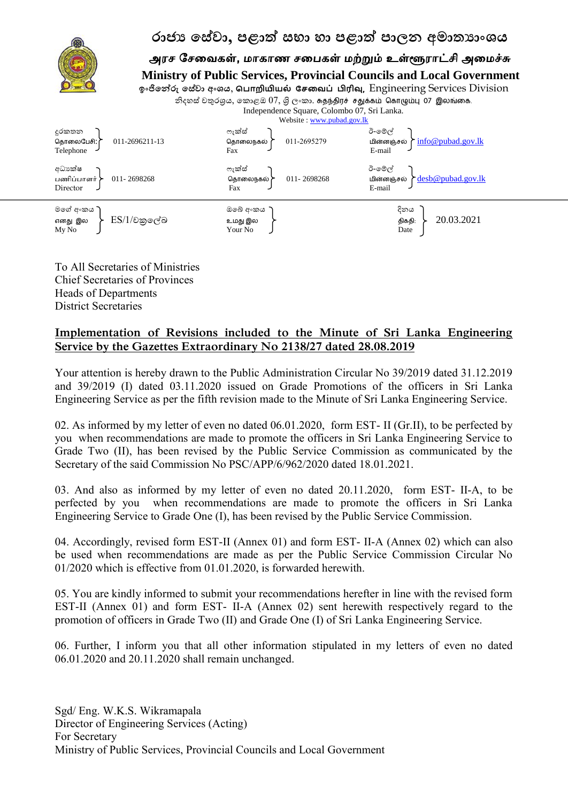

To All Secretaries of Ministries Chief Secretaries of Provinces Heads of Departments District Secretaries

## **Implementation of Revisions included to the Minute of Sri Lanka Engineering Service by the Gazettes Extraordinary No 2138/27 dated 28.08.2019**

Your attention is hereby drawn to the Public Administration Circular No 39/2019 dated 31.12.2019 and 39/2019 (I) dated 03.11.2020 issued on Grade Promotions of the officers in Sri Lanka Engineering Service as per the fifth revision made to the Minute of Sri Lanka Engineering Service.

02. As informed by my letter of even no dated 06.01.2020, form EST- II (Gr.II), to be perfected by you when recommendations are made to promote the officers in Sri Lanka Engineering Service to Grade Two (II), has been revised by the Public Service Commission as communicated by the Secretary of the said Commission No PSC/APP/6/962/2020 dated 18.01.2021.

03. And also as informed by my letter of even no dated 20.11.2020, form EST- II-A, to be perfected by you when recommendations are made to promote the officers in Sri Lanka Engineering Service to Grade One (I), has been revised by the Public Service Commission.

04. Accordingly, revised form EST-II (Annex 01) and form EST- II-A (Annex 02) which can also be used when recommendations are made as per the Public Service Commission Circular No 01/2020 which is effective from 01.01.2020, is forwarded herewith.

05. You are kindly informed to submit your recommendations herefter in line with the revised form EST-II (Annex 01) and form EST- II-A (Annex 02) sent herewith respectively regard to the promotion of officers in Grade Two (II) and Grade One (I) of Sri Lanka Engineering Service.

06. Further, I inform you that all other information stipulated in my letters of even no dated 06.01.2020 and 20.11.2020 shall remain unchanged.

Sgd/ Eng. W.K.S. Wikramapala Director of Engineering Services (Acting) For Secretary Ministry of Public Services, Provincial Councils and Local Government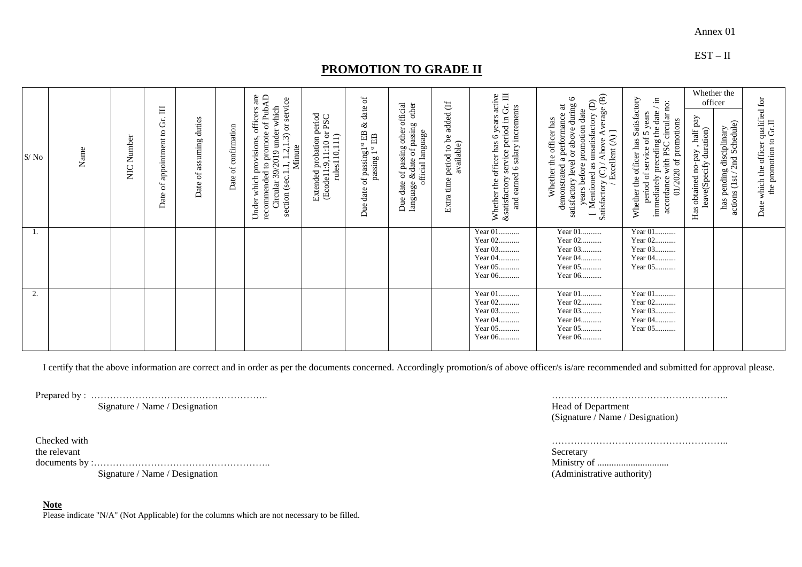## EST – II

## **PROMOTION TO GRADE II**

| S/No | Name | Number<br>$\sum_{i=1}^{n}$ | of appointment to Gr. III<br>Date | duties<br>of assuming<br>Date | confirmation<br>$\sigma f$<br>Date | of PubAD<br>of PubAD<br>$1.2, 1.3$ ) or service<br>which<br>officers<br>Circular 39/2019 under<br>promote<br>provisions,<br>section (sec.1.1, 1.2,1.<br>Minute<br>$\mathtt{c}$<br>recommended<br>which<br>Under | Extended probation period<br>(Ecode11:9,11:10 or PSC<br>rules110,111) | $\sigma$<br>date<br>$\otimes$<br>of passing $1^{st}$ EB $\delta$<br>passing $1^{st}$ EB<br>date<br>Due | Due date of passing other official<br>language &date of passing other<br>official language | be added (If<br>t time period to be<br>available)<br>Extra | Gr. $\Pi$<br>years active<br>ttisfactory service period in Gr.<br>and earned 6 salary increments<br>Whether the officer has 6<br><b>&amp;satisfactory</b> | $\widehat{\mathfrak{S}}$<br>$\circ$<br>Mentioned as unsatisfactory (D<br>satisfactory level or above during<br>demonstrated a performance at<br>y (C) / Above Average<br>/ Excellent (A) ]<br>years before promotion date<br>Whether the officer has<br>Satisfactory<br>$\overline{\phantom{0}}$ | Whether the officer has Satisfactory<br>period of service of 5 years<br>immediately preceding the date $\ell$ in<br>accordance with PSC circular no:<br>01/2020 of promotions | officer<br>Has obtained no-pay , half pay<br>leave(Specify duration) | Whether the<br>2nd Schedule)<br>has pending disciplinary<br>actions (1st | Date which the officer qualified for<br>the promotion to Gr.II |
|------|------|----------------------------|-----------------------------------|-------------------------------|------------------------------------|-----------------------------------------------------------------------------------------------------------------------------------------------------------------------------------------------------------------|-----------------------------------------------------------------------|--------------------------------------------------------------------------------------------------------|--------------------------------------------------------------------------------------------|------------------------------------------------------------|-----------------------------------------------------------------------------------------------------------------------------------------------------------|--------------------------------------------------------------------------------------------------------------------------------------------------------------------------------------------------------------------------------------------------------------------------------------------------|-------------------------------------------------------------------------------------------------------------------------------------------------------------------------------|----------------------------------------------------------------------|--------------------------------------------------------------------------|----------------------------------------------------------------|
| Ι.   |      |                            |                                   |                               |                                    |                                                                                                                                                                                                                 |                                                                       |                                                                                                        |                                                                                            |                                                            | Year 01<br>Year 02<br>Year 03<br>Year 04<br>Year 05<br>Year 06                                                                                            | Year 01<br>Year 02<br>Year 03<br>Year 04<br>Year 05<br>Year 06                                                                                                                                                                                                                                   | Year 01<br>Year 02<br>Year 03<br>Year 04<br>Year 05                                                                                                                           |                                                                      |                                                                          |                                                                |
| 2.   |      |                            |                                   |                               |                                    |                                                                                                                                                                                                                 |                                                                       |                                                                                                        |                                                                                            |                                                            | Year 01<br>Year 02<br>Year 03<br>Year 04<br>Year 05<br>Year 06                                                                                            | Year 01<br>Year 02<br>Year 03<br>Year 04<br>Year 05<br>Year 06                                                                                                                                                                                                                                   | Year 01<br>Year 02<br>Year 03<br>Year 04<br>Year 05                                                                                                                           |                                                                      |                                                                          |                                                                |

I certify that the above information are correct and in order as per the documents concerned. Accordingly promotion/s of above officer/s is/are recommended and submitted for approval please.

Prepared by : ………………………………………………..

Signature / Name / Designation

Checked with the relevant documents by :……………………………………………….. Signature / Name / Designation

 **Note**

Please indicate "N/A" (Not Applicable) for the columns which are not necessary to be filled.

……………………………………………….. Head of Department (Signature / Name / Designation)

………………………………………………..

Secretary Ministry of .............................. (Administrative authority)